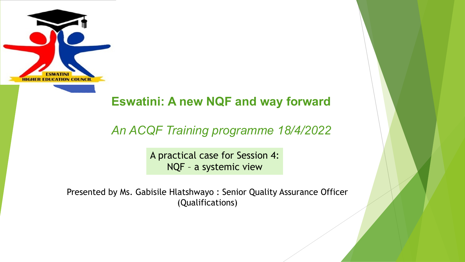

#### **Eswatini: A new NQF and way forward**

#### *An ACQF Training programme 18/4/2022*

A practical case for Session 4: NQF – a systemic view

Presented by Ms. Gabisile Hlatshwayo : Senior Quality Assurance Officer (Qualifications)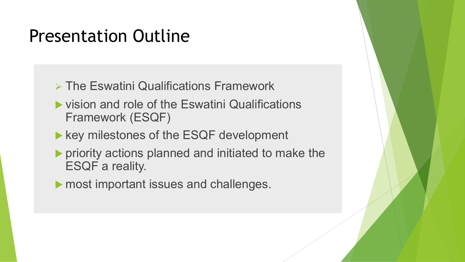#### Presentation Outline

- $\triangleright$  The Eswatini Qualifications Framework
- $\blacktriangleright$  vision and role of the Eswatini Qualifications Framework (ESQF)
- $\blacktriangleright$  key milestones of the ESQF development
- $\blacktriangleright$  priority actions planned and initiated to make the ESQF a reality.
- $\blacktriangleright$  most important issues and challenges.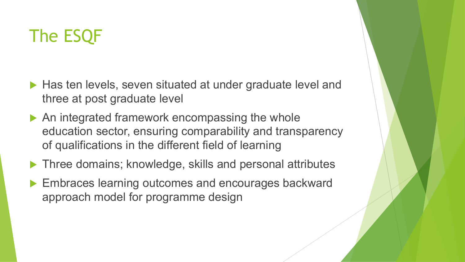# The ESQF

- $\blacktriangleright$  Has ten levels, seven situated at under graduate level and three at post graduate level
- $\blacktriangleright$  An integrated framework encompassing the whole education sector, ensuring comparability and transparency of qualifications in the different field of learning
- $\blacktriangleright$  Three domains; knowledge, skills and personal attributes
- Embraces learning outcomes and encourages backward approach model for programme design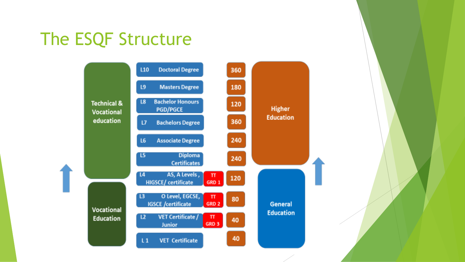# The ESQF Structure

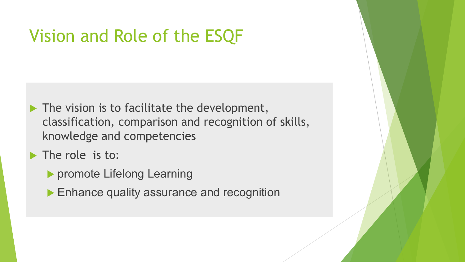## Vision and Role of the ESQF

- $\blacktriangleright$  The vision is to facilitate the development, classification, comparison and recognition of skills, knowledge and competencies
- $\blacktriangleright$  The role is to:
	- **Depromote Lifelong Learning**
	- $\blacktriangleright$  Enhance quality assurance and recognition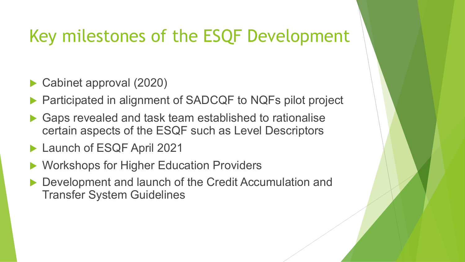## Key milestones of the ESQF Development

- Cabinet approval (2020)
- Participated in alignment of SADCQF to NQFs pilot project
- Gaps revealed and task team established to rationalise certain aspects of the ESQF such as Level Descriptors
- Launch of ESQF April 2021
- Workshops for Higher Education Providers
- Development and launch of the Credit Accumulation and Transfer System Guidelines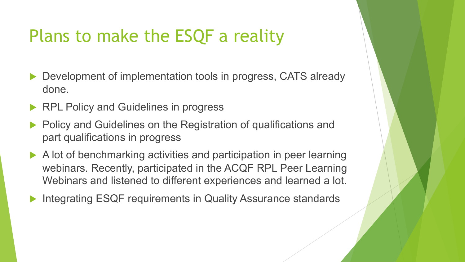# Plans to make the ESQF a reality

- Development of implementation tools in progress, CATS already done.
- RPL Policy and Guidelines in progress
- Policy and Guidelines on the Registration of qualifications and part qualifications in progress
- $\blacktriangleright$  A lot of benchmarking activities and participation in peer learning webinars. Recently, participated in the ACQF RPL Peer Learning Webinars and listened to different experiences and learned a lot.
- Integrating ESQF requirements in Quality Assurance standards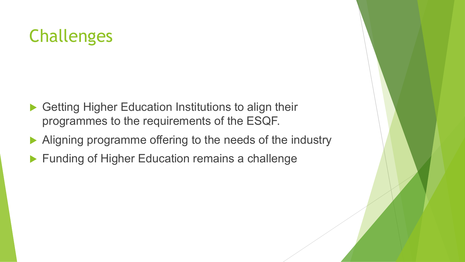# Challenges

- $\blacktriangleright$  Getting Higher Education Institutions to align their programmes to the requirements of the ESQF.
- Aligning programme offering to the needs of the industry
- $\blacktriangleright$  Funding of Higher Education remains a challenge